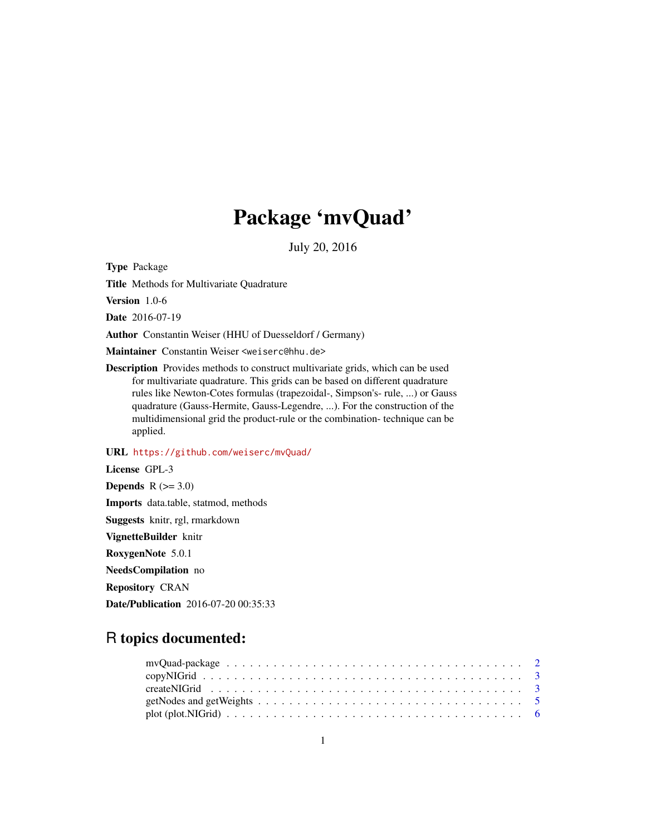## Package 'mvQuad'

July 20, 2016

Type Package

Title Methods for Multivariate Quadrature

Version 1.0-6

Date 2016-07-19

Author Constantin Weiser (HHU of Duesseldorf / Germany)

Maintainer Constantin Weiser <weiserc@hhu.de>

Description Provides methods to construct multivariate grids, which can be used for multivariate quadrature. This grids can be based on different quadrature rules like Newton-Cotes formulas (trapezoidal-, Simpson's- rule, ...) or Gauss quadrature (Gauss-Hermite, Gauss-Legendre, ...). For the construction of the multidimensional grid the product-rule or the combination- technique can be applied.

URL <https://github.com/weiserc/mvQuad/>

License GPL-3 Depends  $R$  ( $>= 3.0$ ) Imports data.table, statmod, methods Suggests knitr, rgl, rmarkdown VignetteBuilder knitr RoxygenNote 5.0.1 NeedsCompilation no Repository CRAN

Date/Publication 2016-07-20 00:35:33

### R topics documented:

| getNodes and getWeights $\dots \dots \dots \dots \dots \dots \dots \dots \dots \dots \dots \dots \dots \dots$ |  |
|---------------------------------------------------------------------------------------------------------------|--|
|                                                                                                               |  |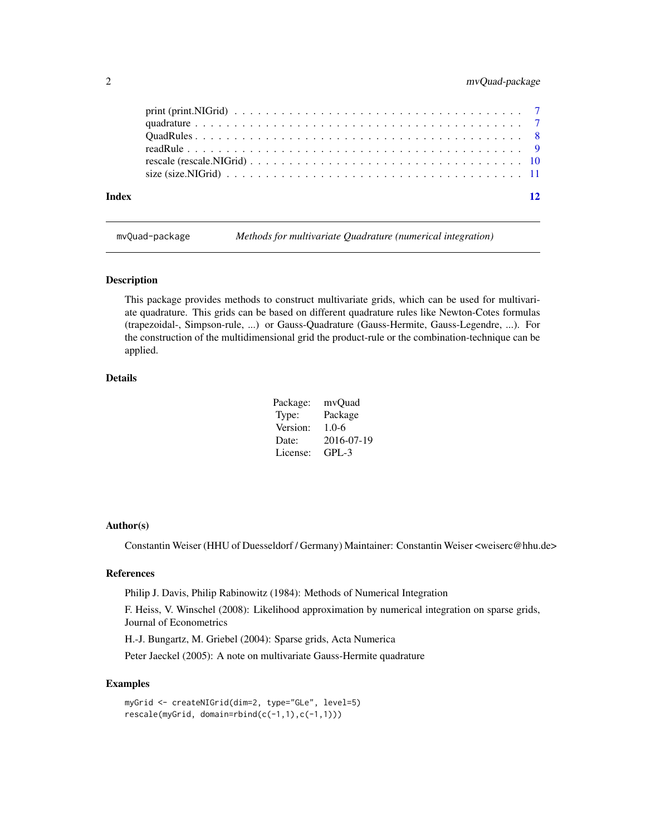#### <span id="page-1-0"></span>2 mvQuad-package

| Index |  |  |  |  |  |  |  |  |  |  |  |  |  |  |  |  | $\overline{12}$ |
|-------|--|--|--|--|--|--|--|--|--|--|--|--|--|--|--|--|-----------------|
|       |  |  |  |  |  |  |  |  |  |  |  |  |  |  |  |  |                 |
|       |  |  |  |  |  |  |  |  |  |  |  |  |  |  |  |  |                 |
|       |  |  |  |  |  |  |  |  |  |  |  |  |  |  |  |  |                 |
|       |  |  |  |  |  |  |  |  |  |  |  |  |  |  |  |  |                 |
|       |  |  |  |  |  |  |  |  |  |  |  |  |  |  |  |  |                 |
|       |  |  |  |  |  |  |  |  |  |  |  |  |  |  |  |  |                 |

mvQuad-package *Methods for multivariate Quadrature (numerical integration)*

#### Description

This package provides methods to construct multivariate grids, which can be used for multivariate quadrature. This grids can be based on different quadrature rules like Newton-Cotes formulas (trapezoidal-, Simpson-rule, ...) or Gauss-Quadrature (Gauss-Hermite, Gauss-Legendre, ...). For the construction of the multidimensional grid the product-rule or the combination-technique can be applied.

#### Details

| Package: | mvOuad     |
|----------|------------|
| Type:    | Package    |
| Version: | $1.0-6$    |
| Date:    | 2016-07-19 |
| License: | $GPL-3$    |

#### Author(s)

Constantin Weiser (HHU of Duesseldorf / Germany) Maintainer: Constantin Weiser <weiserc@hhu.de>

#### References

Philip J. Davis, Philip Rabinowitz (1984): Methods of Numerical Integration

F. Heiss, V. Winschel (2008): Likelihood approximation by numerical integration on sparse grids, Journal of Econometrics

H.-J. Bungartz, M. Griebel (2004): Sparse grids, Acta Numerica

Peter Jaeckel (2005): A note on multivariate Gauss-Hermite quadrature

```
myGrid <- createNIGrid(dim=2, type="GLe", level=5)
rescale(myGrid, domain=rbind(c(-1,1),c(-1,1)))
```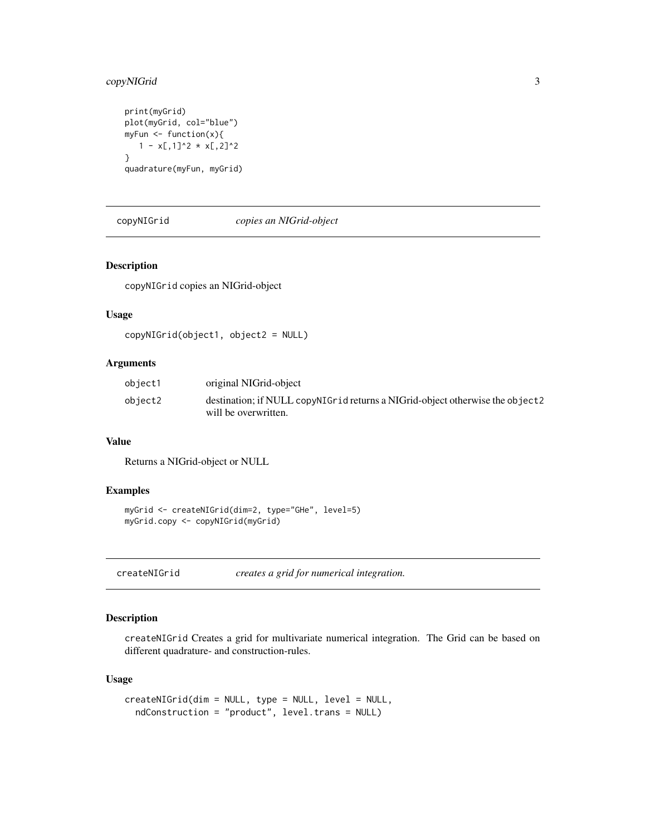#### <span id="page-2-0"></span>copyNIGrid 3

```
print(myGrid)
plot(myGrid, col="blue")
myFun <- function(x){
  1 - x[,1]^2 \times x[,2]^2}
quadrature(myFun, myGrid)
```
#### copyNIGrid *copies an NIGrid-object*

#### Description

copyNIGrid copies an NIGrid-object

#### Usage

```
copyNIGrid(object1, object2 = NULL)
```
#### Arguments

| object1 | original NIGrid-object                                                        |
|---------|-------------------------------------------------------------------------------|
| object2 | destination; if NULL copyNIGrid returns a NIGrid-object otherwise the object2 |
|         | will be overwritten.                                                          |

#### Value

Returns a NIGrid-object or NULL

#### Examples

```
myGrid <- createNIGrid(dim=2, type="GHe", level=5)
myGrid.copy <- copyNIGrid(myGrid)
```
<span id="page-2-1"></span>createNIGrid *creates a grid for numerical integration.*

#### Description

createNIGrid Creates a grid for multivariate numerical integration. The Grid can be based on different quadrature- and construction-rules.

#### Usage

```
createNIGrid(dim = NULL, type = NULL, level = NULL,
  ndConstruction = "product", level.trans = NULL)
```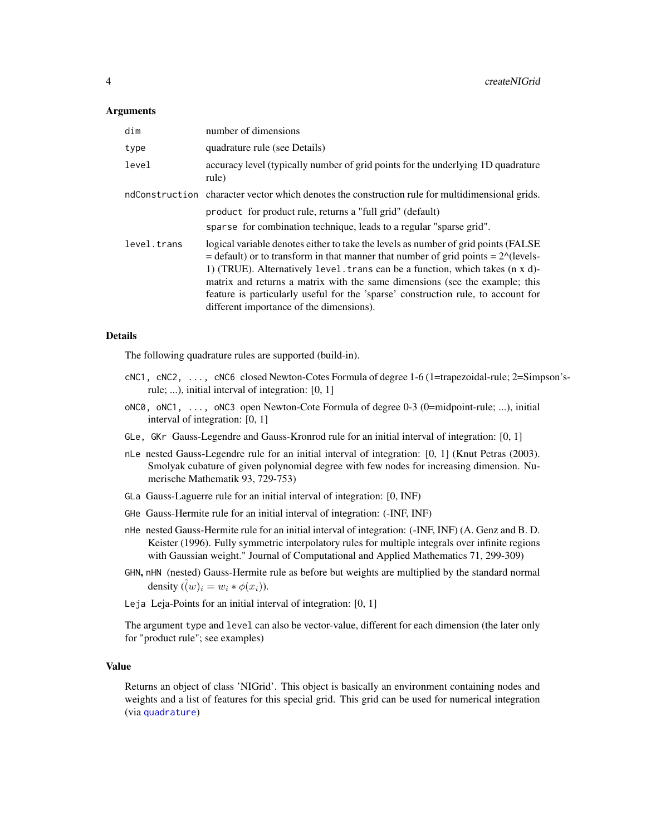#### <span id="page-3-0"></span>Arguments

| dim         | number of dimensions                                                                                                                                                                                                                                                                                                                                                                                                                                                                          |
|-------------|-----------------------------------------------------------------------------------------------------------------------------------------------------------------------------------------------------------------------------------------------------------------------------------------------------------------------------------------------------------------------------------------------------------------------------------------------------------------------------------------------|
| type        | quadrature rule (see Details)                                                                                                                                                                                                                                                                                                                                                                                                                                                                 |
| level       | accuracy level (typically number of grid points for the underlying 1D quadrature<br>rule)                                                                                                                                                                                                                                                                                                                                                                                                     |
|             | ndConstruction character vector which denotes the construction rule for multidimensional grids.                                                                                                                                                                                                                                                                                                                                                                                               |
|             | product for product rule, returns a "full grid" (default)                                                                                                                                                                                                                                                                                                                                                                                                                                     |
|             | sparse for combination technique, leads to a regular "sparse grid".                                                                                                                                                                                                                                                                                                                                                                                                                           |
| level.trans | logical variable denotes either to take the levels as number of grid points (FALSE)<br>$=$ default) or to transform in that manner that number of grid points $= 2^{\circ}$ (levels-<br>1) (TRUE). Alternatively level. trans can be a function, which takes $(n \times d)$ -<br>matrix and returns a matrix with the same dimensions (see the example; this<br>feature is particularly useful for the 'sparse' construction rule, to account for<br>different importance of the dimensions). |

#### Details

The following quadrature rules are supported (build-in).

- cNC1, cNC2, ..., cNC6 closed Newton-Cotes Formula of degree 1-6 (1=trapezoidal-rule; 2=Simpson'srule; ...), initial interval of integration: [0, 1]
- oNC0, oNC1, ..., oNC3 open Newton-Cote Formula of degree 0-3 (0=midpoint-rule; ...), initial interval of integration: [0, 1]
- GLe, GKr Gauss-Legendre and Gauss-Kronrod rule for an initial interval of integration: [0, 1]
- nLe nested Gauss-Legendre rule for an initial interval of integration: [0, 1] (Knut Petras (2003). Smolyak cubature of given polynomial degree with few nodes for increasing dimension. Numerische Mathematik 93, 729-753)
- GLa Gauss-Laguerre rule for an initial interval of integration: [0, INF)
- GHe Gauss-Hermite rule for an initial interval of integration: (-INF, INF)
- nHe nested Gauss-Hermite rule for an initial interval of integration: (-INF, INF) (A. Genz and B. D. Keister (1996). Fully symmetric interpolatory rules for multiple integrals over infinite regions with Gaussian weight." Journal of Computational and Applied Mathematics 71, 299-309)
- GHN, nHN (nested) Gauss-Hermite rule as before but weights are multiplied by the standard normal density  $(\hat{(w)}_i = w_i * \phi(x_i)).$
- Leja Leja-Points for an initial interval of integration: [0, 1]

The argument type and level can also be vector-value, different for each dimension (the later only for "product rule"; see examples)

#### Value

Returns an object of class 'NIGrid'. This object is basically an environment containing nodes and weights and a list of features for this special grid. This grid can be used for numerical integration (via [quadrature](#page-6-1))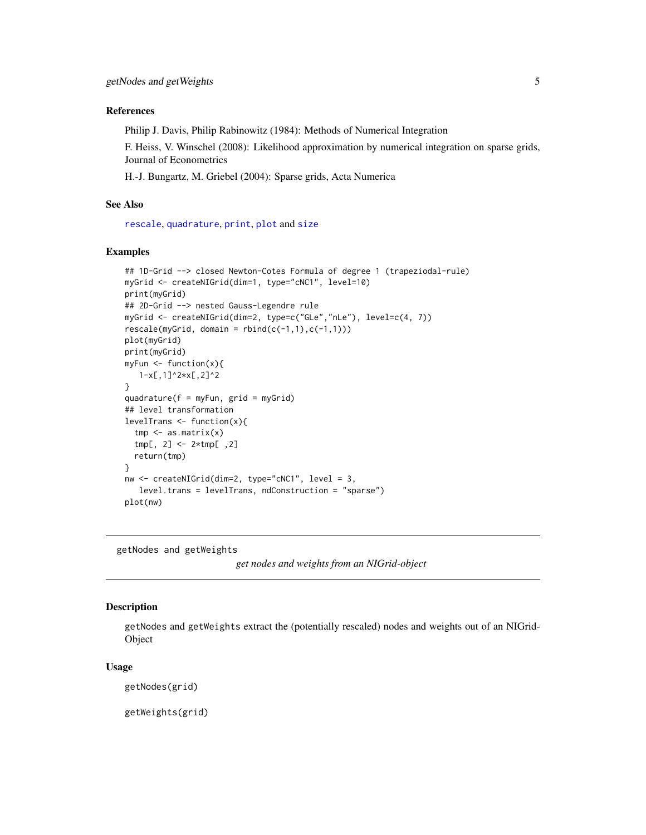#### <span id="page-4-0"></span>References

Philip J. Davis, Philip Rabinowitz (1984): Methods of Numerical Integration

F. Heiss, V. Winschel (2008): Likelihood approximation by numerical integration on sparse grids, Journal of Econometrics

H.-J. Bungartz, M. Griebel (2004): Sparse grids, Acta Numerica

#### See Also

[rescale](#page-9-1), [quadrature](#page-6-1), [print](#page-6-2), [plot](#page-5-1) and [size](#page-10-1)

#### Examples

```
## 1D-Grid --> closed Newton-Cotes Formula of degree 1 (trapeziodal-rule)
myGrid <- createNIGrid(dim=1, type="cNC1", level=10)
print(myGrid)
## 2D-Grid --> nested Gauss-Legendre rule
myGrid <- createNIGrid(dim=2, type=c("GLe","nLe"), level=c(4, 7))
rescale(myGrid, domain = rbind(c(-1,1),c(-1,1)))plot(myGrid)
print(myGrid)
myFun \leq function(x){
   1-x[,1]^2*x[,2]^2
}
quadrature(f = myFun, grid = myGrid)
## level transformation
levelTrans <- function(x){
  tmp \leftarrow as_matrix(x)tmp[, 2] <- 2*tmp[ ,2]
  return(tmp)
}
nw <- createNIGrid(dim=2, type="cNC1", level = 3,
   level.trans = levelTrans, ndConstruction = "sparse")
plot(nw)
```
getNodes and getWeights

```
get nodes and weights from an NIGrid-object
```
#### <span id="page-4-1"></span>Description

getNodes and getWeights extract the (potentially rescaled) nodes and weights out of an NIGrid-Object

#### Usage

getNodes(grid)

getWeights(grid)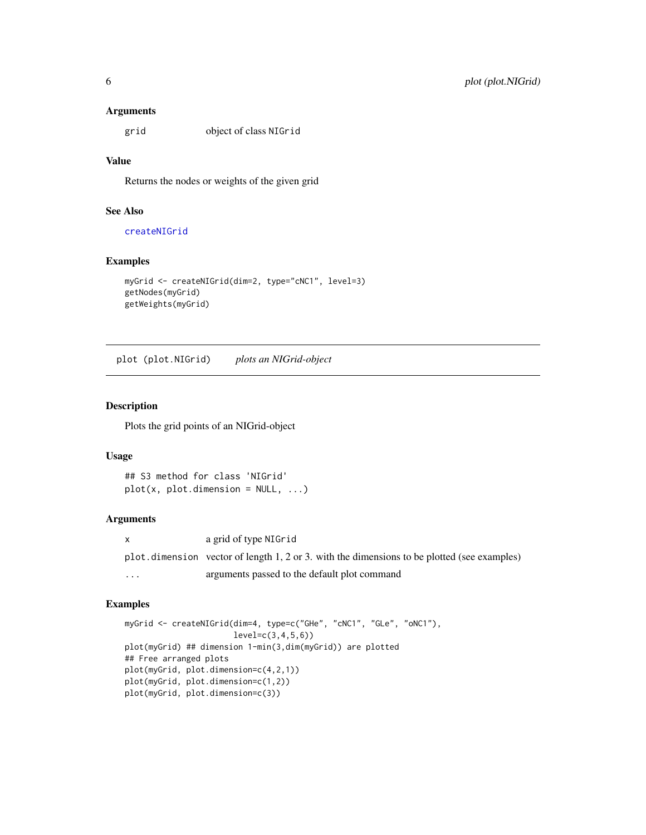#### <span id="page-5-0"></span>Arguments

grid object of class NIGrid

#### Value

Returns the nodes or weights of the given grid

#### See Also

[createNIGrid](#page-2-1)

#### Examples

```
myGrid <- createNIGrid(dim=2, type="cNC1", level=3)
getNodes(myGrid)
getWeights(myGrid)
```
plot (plot.NIGrid) *plots an NIGrid-object*

#### <span id="page-5-1"></span>Description

Plots the grid points of an NIGrid-object

#### Usage

```
## S3 method for class 'NIGrid'
plot(x, plot.dimension = NULL, ...)
```
#### Arguments

x a grid of type NIGrid plot.dimension vector of length 1, 2 or 3. with the dimensions to be plotted (see examples) ... arguments passed to the default plot command

```
myGrid <- createNIGrid(dim=4, type=c("GHe", "cNC1", "GLe", "oNC1"),
                      level=c(3,4,5,6))
plot(myGrid) ## dimension 1-min(3,dim(myGrid)) are plotted
## Free arranged plots
plot(myGrid, plot.dimension=c(4,2,1))
plot(myGrid, plot.dimension=c(1,2))
plot(myGrid, plot.dimension=c(3))
```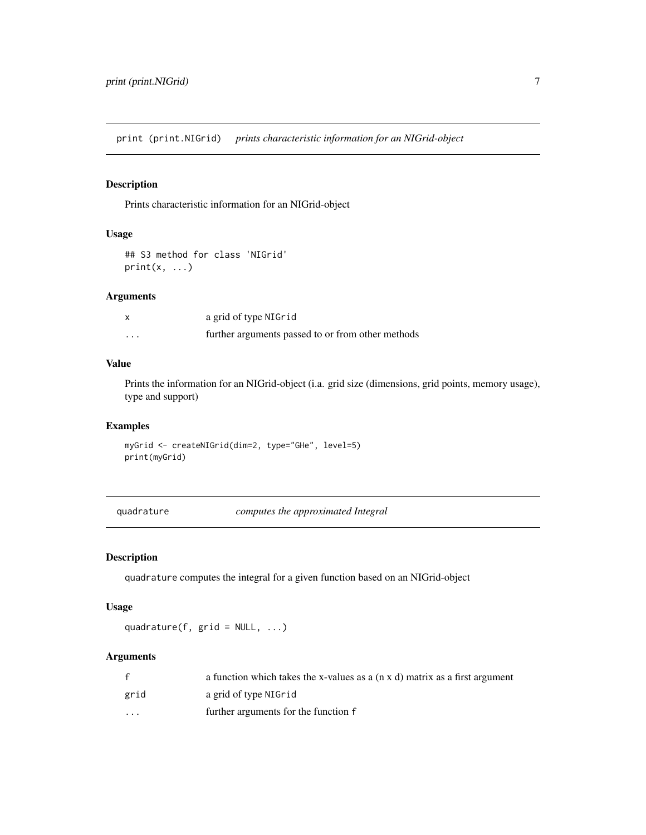<span id="page-6-0"></span>print (print.NIGrid) *prints characteristic information for an NIGrid-object*

#### <span id="page-6-2"></span>Description

Prints characteristic information for an NIGrid-object

#### Usage

```
## S3 method for class 'NIGrid'
print(x, \ldots)
```
#### Arguments

|                   | a grid of type NIGrid                             |
|-------------------|---------------------------------------------------|
| $\cdot\cdot\cdot$ | further arguments passed to or from other methods |

#### Value

Prints the information for an NIGrid-object (i.a. grid size (dimensions, grid points, memory usage), type and support)

#### Examples

myGrid <- createNIGrid(dim=2, type="GHe", level=5) print(myGrid)

<span id="page-6-1"></span>quadrature *computes the approximated Integral*

#### Description

quadrature computes the integral for a given function based on an NIGrid-object

#### Usage

quadrature(f,  $grid = NULL, ...$ )

#### Arguments

|          | a function which takes the x-values as a $(n \times d)$ matrix as a first argument |
|----------|------------------------------------------------------------------------------------|
| grid     | a grid of type NIGrid                                                              |
| $\cdots$ | further arguments for the function f                                               |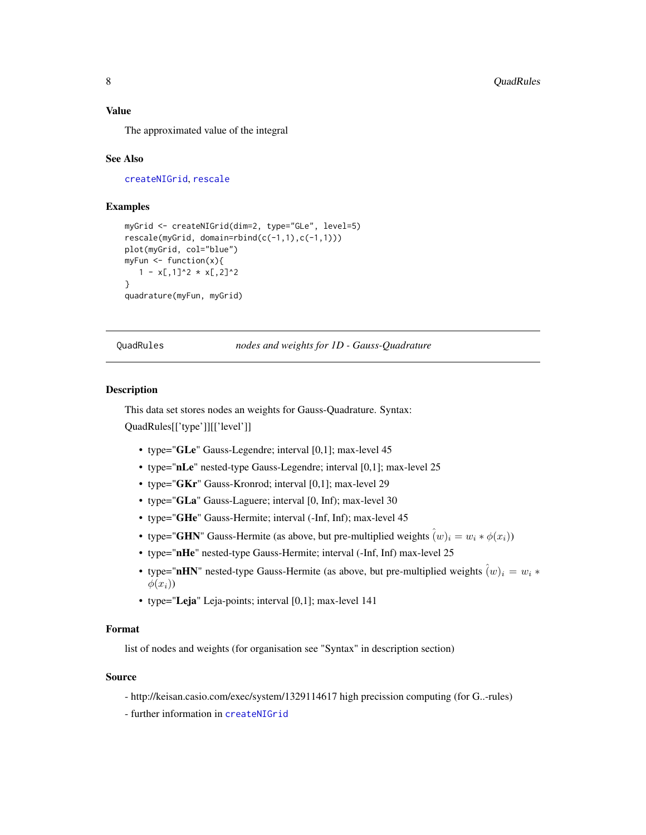#### <span id="page-7-0"></span>Value

The approximated value of the integral

#### See Also

[createNIGrid](#page-2-1), [rescale](#page-9-1)

#### Examples

```
myGrid <- createNIGrid(dim=2, type="GLe", level=5)
rescale(myGrid, domain=rbind(c(-1,1),c(-1,1)))
plot(myGrid, col="blue")
myFun <- function(x){
   1 - x[, 1]^2 \times x[, 2]^2}
quadrature(myFun, myGrid)
```
QuadRules *nodes and weights for 1D - Gauss-Quadrature*

#### Description

This data set stores nodes an weights for Gauss-Quadrature. Syntax: QuadRules[['type']][['level']]

- type="GLe" Gauss-Legendre; interval [0,1]; max-level 45
- type="nLe" nested-type Gauss-Legendre; interval [0,1]; max-level 25
- type="GKr" Gauss-Kronrod; interval [0,1]; max-level 29
- type="GLa" Gauss-Laguere; interval [0, Inf); max-level 30
- type="GHe" Gauss-Hermite; interval (-Inf, Inf); max-level 45
- type="GHN" Gauss-Hermite (as above, but pre-multiplied weights  $(w)_i = w_i * \phi(x_i)$ )
- type="nHe" nested-type Gauss-Hermite; interval (-Inf, Inf) max-level 25
- type="nHN" nested-type Gauss-Hermite (as above, but pre-multiplied weights  $(w)_i = w_i *$  $\phi(x_i)$
- type="Leja" Leja-points; interval [0,1]; max-level 141

#### Format

list of nodes and weights (for organisation see "Syntax" in description section)

#### Source

- http://keisan.casio.com/exec/system/1329114617 high precission computing (for G..-rules)
- further information in [createNIGrid](#page-2-1)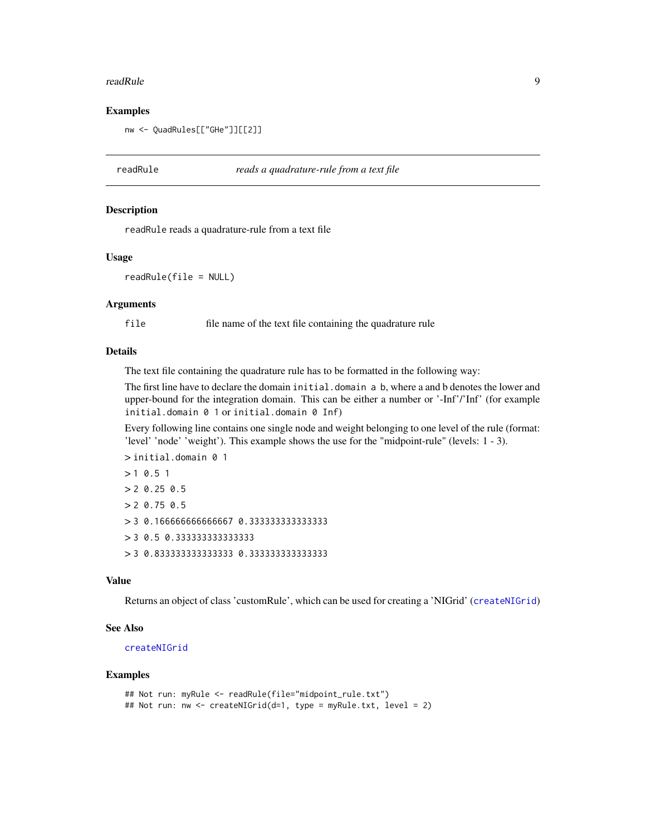#### <span id="page-8-0"></span>readRule 99 and 2012 12:00 percent of the set of the set of the set of the set of the set of the set of the set of the set of the set of the set of the set of the set of the set of the set of the set of the set of the set

#### Examples

nw <- QuadRules[["GHe"]][[2]]

readRule *reads a quadrature-rule from a text file*

#### **Description**

readRule reads a quadrature-rule from a text file

#### Usage

readRule(file = NULL)

#### Arguments

file file name of the text file containing the quadrature rule

#### Details

The text file containing the quadrature rule has to be formatted in the following way:

The first line have to declare the domain initial.domain a b, where a and b denotes the lower and upper-bound for the integration domain. This can be either a number or '-Inf'/'Inf' (for example initial.domain 0 1 or initial.domain 0 Inf)

Every following line contains one single node and weight belonging to one level of the rule (format: 'level' 'node' 'weight'). This example shows the use for the "midpoint-rule" (levels: 1 - 3).

```
> initial.domain 0 1
> 1 0.5 1
> 2 0.25 0.5
> 2 0.75 0.5
> 3 0.166666666666667 0.333333333333333
> 3 0.5 0.333333333333333
> 3 0.833333333333333 0.333333333333333
```
#### Value

Returns an object of class 'customRule', which can be used for creating a 'NIGrid' ([createNIGrid](#page-2-1))

#### See Also

[createNIGrid](#page-2-1)

```
## Not run: myRule <- readRule(file="midpoint_rule.txt")
## Not run: nw <- createNIGrid(d=1, type = myRule.txt, level = 2)
```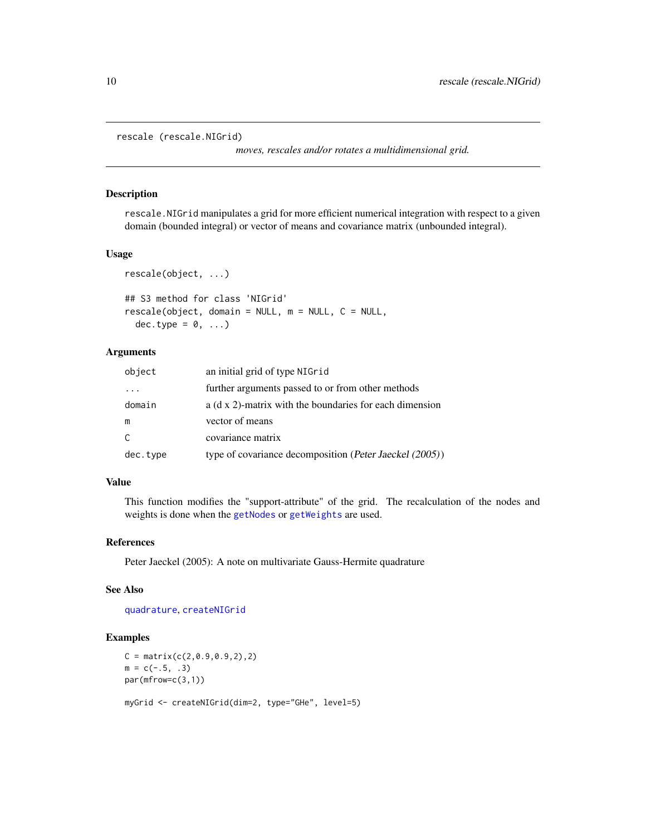```
rescale (rescale.NIGrid)
```
*moves, rescales and/or rotates a multidimensional grid.*

#### <span id="page-9-1"></span>Description

rescale.NIGrid manipulates a grid for more efficient numerical integration with respect to a given domain (bounded integral) or vector of means and covariance matrix (unbounded integral).

#### Usage

```
rescale(object, ...)
## S3 method for class 'NIGrid'
rescale(object, domain = NULL, m = NULL, C = NULL,
 dec.type = 0, ...
```
#### Arguments

| object   | an initial grid of type NIGrid                          |
|----------|---------------------------------------------------------|
| $\cdot$  | further arguments passed to or from other methods       |
| domain   | a (d x 2)-matrix with the boundaries for each dimension |
| m        | vector of means                                         |
| C.       | covariance matrix                                       |
| dec.type | type of covariance decomposition (Peter Jaeckel (2005)) |

#### Value

This function modifies the "support-attribute" of the grid. The recalculation of the nodes and weights is done when the [getNodes](#page-4-1) or [getWeights](#page-4-1) are used.

#### References

Peter Jaeckel (2005): A note on multivariate Gauss-Hermite quadrature

#### See Also

[quadrature](#page-6-1), [createNIGrid](#page-2-1)

```
C = matrix(c(2, 0.9, 0.9, 2), 2)m = c(-.5, .3)par(mfrow=c(3,1))
```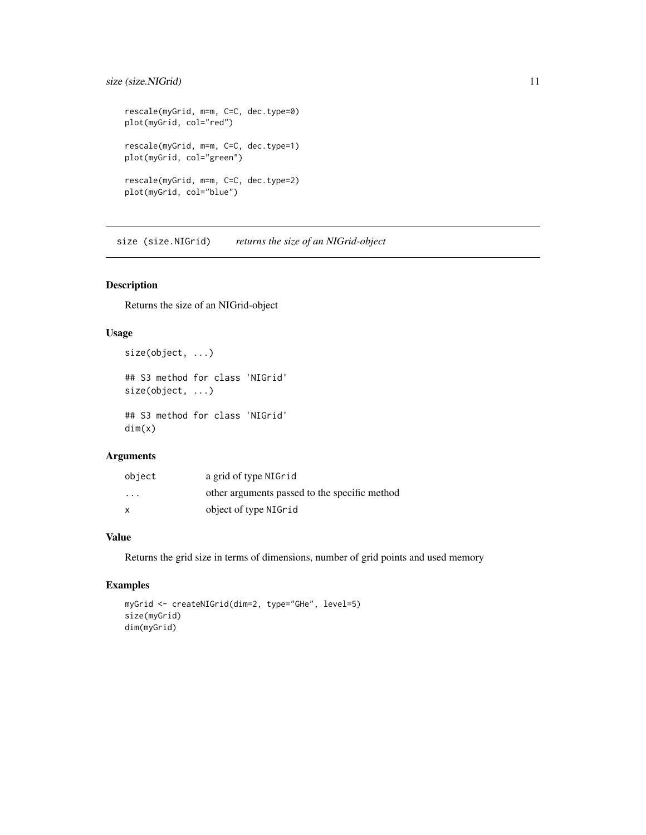#### <span id="page-10-0"></span>size (size.NIGrid) 11

```
rescale(myGrid, m=m, C=C, dec.type=0)
plot(myGrid, col="red")
rescale(myGrid, m=m, C=C, dec.type=1)
plot(myGrid, col="green")
rescale(myGrid, m=m, C=C, dec.type=2)
plot(myGrid, col="blue")
```
size (size.NIGrid) *returns the size of an NIGrid-object*

#### <span id="page-10-1"></span>Description

Returns the size of an NIGrid-object

#### Usage

```
size(object, ...)
```

```
## S3 method for class 'NIGrid'
size(object, ...)
## S3 method for class 'NIGrid'
```
dim(x)

#### Arguments

| object  | a grid of type NIGrid                         |
|---------|-----------------------------------------------|
| $\cdot$ | other arguments passed to the specific method |
| x       | object of type NIGrid                         |

#### Value

Returns the grid size in terms of dimensions, number of grid points and used memory

```
myGrid <- createNIGrid(dim=2, type="GHe", level=5)
size(myGrid)
dim(myGrid)
```